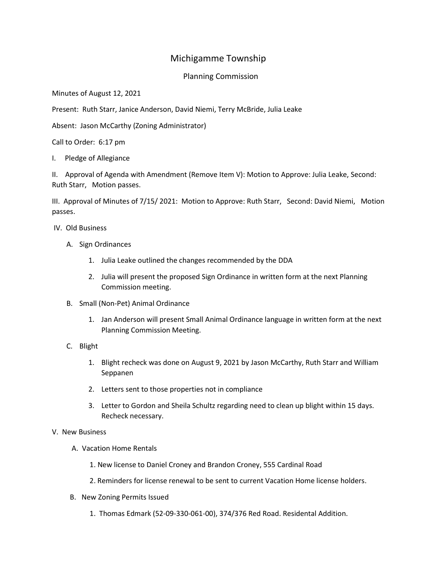## Michigamme Township

## Planning Commission

Minutes of August 12, 2021

Present: Ruth Starr, Janice Anderson, David Niemi, Terry McBride, Julia Leake

Absent: Jason McCarthy (Zoning Administrator)

Call to Order: 6:17 pm

I. Pledge of Allegiance

II. Approval of Agenda with Amendment (Remove Item V): Motion to Approve: Julia Leake, Second: Ruth Starr, Motion passes.

III. Approval of Minutes of 7/15/ 2021: Motion to Approve: Ruth Starr, Second: David Niemi, Motion passes.

IV. Old Business

- A. Sign Ordinances
	- 1. Julia Leake outlined the changes recommended by the DDA
	- 2. Julia will present the proposed Sign Ordinance in written form at the next Planning Commission meeting.
- B. Small (Non-Pet) Animal Ordinance
	- 1. Jan Anderson will present Small Animal Ordinance language in written form at the next Planning Commission Meeting.
- C. Blight
	- 1. Blight recheck was done on August 9, 2021 by Jason McCarthy, Ruth Starr and William Seppanen
	- 2. Letters sent to those properties not in compliance
	- 3. Letter to Gordon and Sheila Schultz regarding need to clean up blight within 15 days. Recheck necessary.

## V. New Business

- A. Vacation Home Rentals
	- 1. New license to Daniel Croney and Brandon Croney, 555 Cardinal Road
	- 2. Reminders for license renewal to be sent to current Vacation Home license holders.
- B. New Zoning Permits Issued
	- 1. Thomas Edmark (52-09-330-061-00), 374/376 Red Road. Residental Addition.